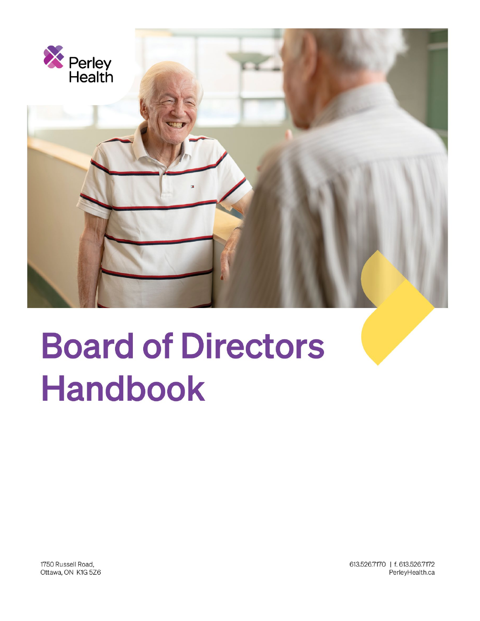

# **Board of Directors Handbook**

1750 Russell Road, Ottawa, ON K1G 5Z6 613.526.7170 | f. 613.526.7172 PerleyHealth.ca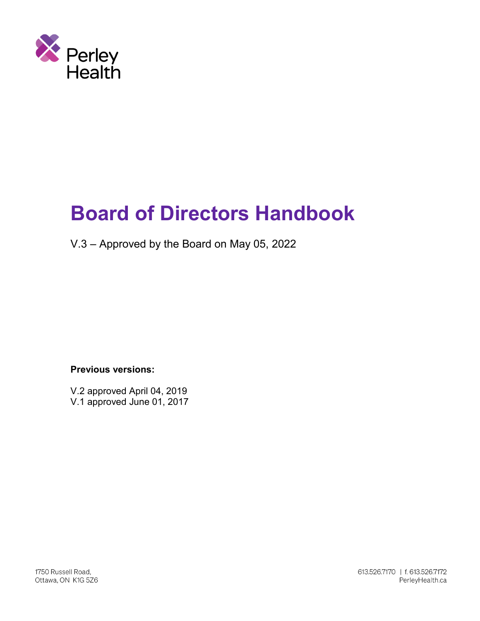

## **Board of Directors Handbook**

V.3 – Approved by the Board on May 05, 2022

**Previous versions:**

V.2 approved April 04, 2019 V.1 approved June 01, 2017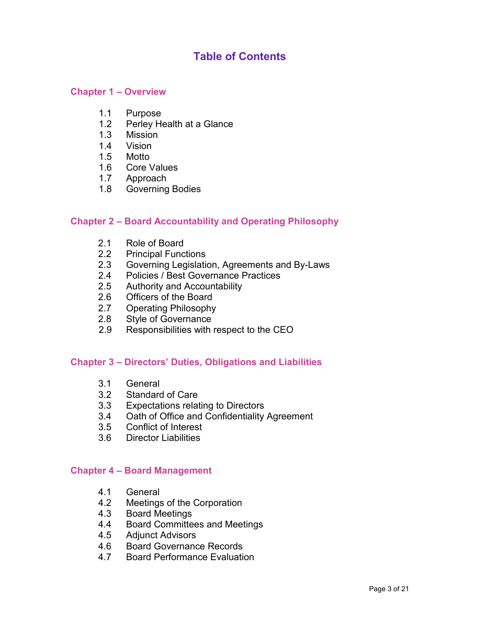### **Table of Contents**

#### **Chapter 1 – Overview**

- 1.1 Purpose<br>1.2 Perley H
- Perley Health at a Glance
- 1.3 Mission
- 1.4 Vision
- 1.5 Motto
- 1.6 Core Values
- 1.7 Approach
- 1.8 Governing Bodies

#### **Chapter 2 – Board Accountability and Operating Philosophy**

- 2.1 Role of Board<br>2.2 Principal Funct
- 2.2 Principal Functions<br>2.3 Governing Legislation
- Governing Legislation, Agreements and By-Laws
- 2.4 Policies / Best Governance Practices
- 2.5 Authority and Accountability
- 2.6 Officers of the Board
- 2.7 Operating Philosophy
- 2.8 Style of Governance
- 2.9 Responsibilities with respect to the CEO

#### **Chapter 3 – Directors' Duties, Obligations and Liabilities**

- 3.1 General
- 3.2 Standard of Care
- 3.3 Expectations relating to Directors
- 3.4 Oath of Office and Confidentiality Agreement
- 3.5 Conflict of Interest
- 3.6 Director Liabilities

#### **Chapter 4 – Board Management**

- 4.1 General<br>4.2 Meetings
- 4.2 Meetings of the Corporation<br>4.3 Board Meetings
- **Board Meetings**
- 4.4 Board Committees and Meetings
- 4.5 Adjunct Advisors
- 4.6 Board Governance Records
- 4.7 Board Performance Evaluation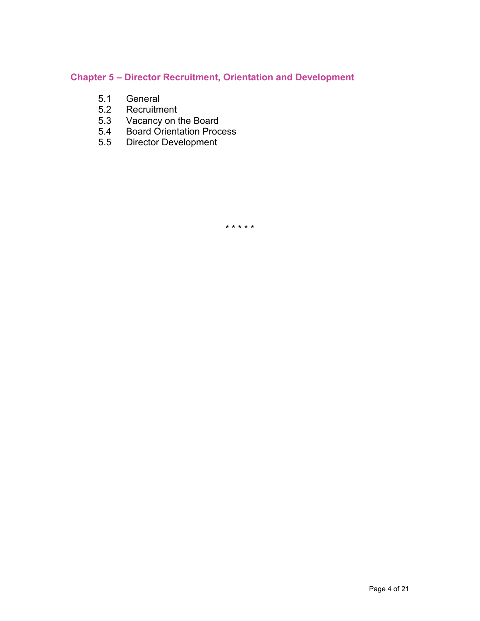#### **Chapter 5 – Director Recruitment, Orientation and Development**

- 5.1 General<br>5.2 Recruitm
- Recruitment
- 5.3 Vacancy on the Board
- 5.4 Board Orientation Process
- 5.5 Director Development

\* \* \* \* \*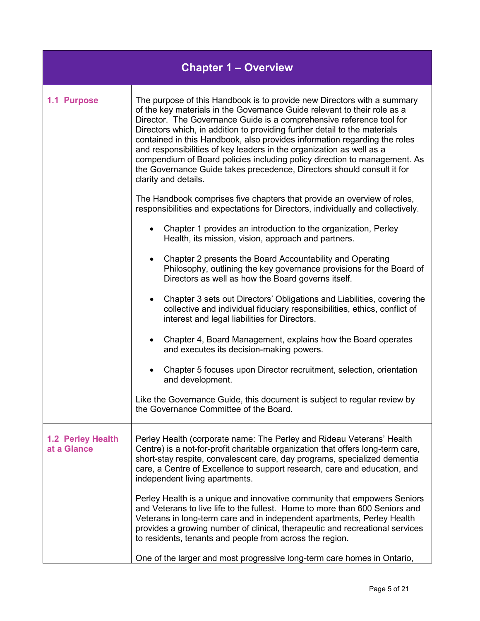| <b>Chapter 1 - Overview</b>      |                                                                                                                                                                                                                                                                                                                                                                                                                                                                                                                                                                                                                                              |
|----------------------------------|----------------------------------------------------------------------------------------------------------------------------------------------------------------------------------------------------------------------------------------------------------------------------------------------------------------------------------------------------------------------------------------------------------------------------------------------------------------------------------------------------------------------------------------------------------------------------------------------------------------------------------------------|
| 1.1 Purpose                      | The purpose of this Handbook is to provide new Directors with a summary<br>of the key materials in the Governance Guide relevant to their role as a<br>Director. The Governance Guide is a comprehensive reference tool for<br>Directors which, in addition to providing further detail to the materials<br>contained in this Handbook, also provides information regarding the roles<br>and responsibilities of key leaders in the organization as well as a<br>compendium of Board policies including policy direction to management. As<br>the Governance Guide takes precedence, Directors should consult it for<br>clarity and details. |
|                                  | The Handbook comprises five chapters that provide an overview of roles,<br>responsibilities and expectations for Directors, individually and collectively.                                                                                                                                                                                                                                                                                                                                                                                                                                                                                   |
|                                  | Chapter 1 provides an introduction to the organization, Perley<br>Health, its mission, vision, approach and partners.                                                                                                                                                                                                                                                                                                                                                                                                                                                                                                                        |
|                                  | Chapter 2 presents the Board Accountability and Operating<br>Philosophy, outlining the key governance provisions for the Board of<br>Directors as well as how the Board governs itself.                                                                                                                                                                                                                                                                                                                                                                                                                                                      |
|                                  | Chapter 3 sets out Directors' Obligations and Liabilities, covering the<br>collective and individual fiduciary responsibilities, ethics, conflict of<br>interest and legal liabilities for Directors.                                                                                                                                                                                                                                                                                                                                                                                                                                        |
|                                  | Chapter 4, Board Management, explains how the Board operates<br>and executes its decision-making powers.                                                                                                                                                                                                                                                                                                                                                                                                                                                                                                                                     |
|                                  | Chapter 5 focuses upon Director recruitment, selection, orientation<br>and development.                                                                                                                                                                                                                                                                                                                                                                                                                                                                                                                                                      |
|                                  | Like the Governance Guide, this document is subject to regular review by<br>the Governance Committee of the Board.                                                                                                                                                                                                                                                                                                                                                                                                                                                                                                                           |
| 1.2 Perley Health<br>at a Glance | Perley Health (corporate name: The Perley and Rideau Veterans' Health<br>Centre) is a not-for-profit charitable organization that offers long-term care,<br>short-stay respite, convalescent care, day programs, specialized dementia<br>care, a Centre of Excellence to support research, care and education, and<br>independent living apartments.                                                                                                                                                                                                                                                                                         |
|                                  | Perley Health is a unique and innovative community that empowers Seniors<br>and Veterans to live life to the fullest. Home to more than 600 Seniors and<br>Veterans in long-term care and in independent apartments, Perley Health<br>provides a growing number of clinical, therapeutic and recreational services<br>to residents, tenants and people from across the region.                                                                                                                                                                                                                                                               |
|                                  | One of the larger and most progressive long-term care homes in Ontario,                                                                                                                                                                                                                                                                                                                                                                                                                                                                                                                                                                      |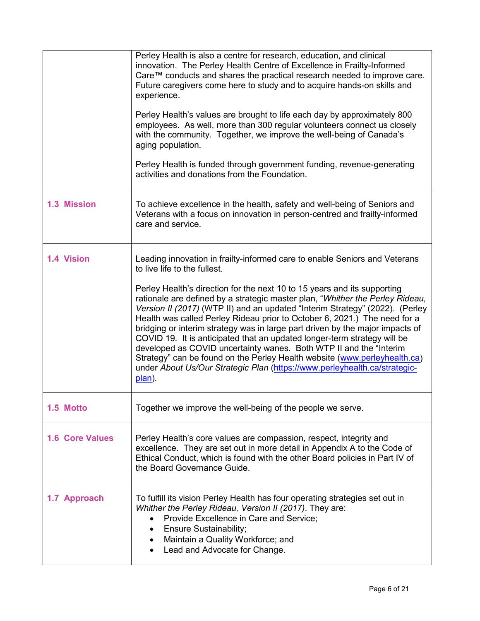|                        | Perley Health is also a centre for research, education, and clinical<br>innovation. The Perley Health Centre of Excellence in Frailty-Informed<br>Care™ conducts and shares the practical research needed to improve care.<br>Future caregivers come here to study and to acquire hands-on skills and<br>experience.<br>Perley Health's values are brought to life each day by approximately 800<br>employees. As well, more than 300 regular volunteers connect us closely<br>with the community. Together, we improve the well-being of Canada's<br>aging population.<br>Perley Health is funded through government funding, revenue-generating<br>activities and donations from the Foundation.                                                                                                                                          |
|------------------------|---------------------------------------------------------------------------------------------------------------------------------------------------------------------------------------------------------------------------------------------------------------------------------------------------------------------------------------------------------------------------------------------------------------------------------------------------------------------------------------------------------------------------------------------------------------------------------------------------------------------------------------------------------------------------------------------------------------------------------------------------------------------------------------------------------------------------------------------|
| <b>1.3 Mission</b>     | To achieve excellence in the health, safety and well-being of Seniors and<br>Veterans with a focus on innovation in person-centred and frailty-informed<br>care and service.                                                                                                                                                                                                                                                                                                                                                                                                                                                                                                                                                                                                                                                                |
| <b>1.4 Vision</b>      | Leading innovation in frailty-informed care to enable Seniors and Veterans<br>to live life to the fullest.<br>Perley Health's direction for the next 10 to 15 years and its supporting<br>rationale are defined by a strategic master plan, "Whither the Perley Rideau,<br>Version II (2017) (WTP II) and an updated "Interim Strategy" (2022). (Perley<br>Health was called Perley Rideau prior to October 6, 2021.) The need for a<br>bridging or interim strategy was in large part driven by the major impacts of<br>COVID 19. It is anticipated that an updated longer-term strategy will be<br>developed as COVID uncertainty wanes. Both WTP II and the "Interim<br>Strategy" can be found on the Perley Health website (www.perleyhealth.ca)<br>under About Us/Our Strategic Plan (https://www.perleyhealth.ca/strategic-<br>plan). |
| 1.5 Motto              | Together we improve the well-being of the people we serve.                                                                                                                                                                                                                                                                                                                                                                                                                                                                                                                                                                                                                                                                                                                                                                                  |
| <b>1.6 Core Values</b> | Perley Health's core values are compassion, respect, integrity and<br>excellence. They are set out in more detail in Appendix A to the Code of<br>Ethical Conduct, which is found with the other Board policies in Part IV of<br>the Board Governance Guide.                                                                                                                                                                                                                                                                                                                                                                                                                                                                                                                                                                                |
| 1.7 Approach           | To fulfill its vision Perley Health has four operating strategies set out in<br>Whither the Perley Rideau, Version II (2017). They are:<br>Provide Excellence in Care and Service;<br><b>Ensure Sustainability;</b><br>Maintain a Quality Workforce; and<br>Lead and Advocate for Change.                                                                                                                                                                                                                                                                                                                                                                                                                                                                                                                                                   |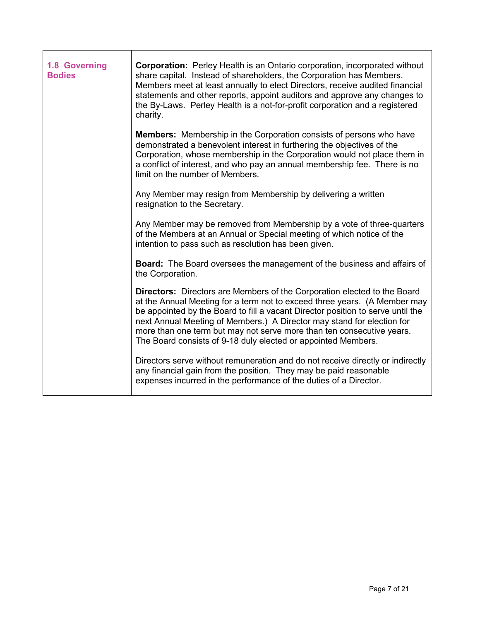| 1.8 Governing<br><b>Bodies</b> | <b>Corporation:</b> Perley Health is an Ontario corporation, incorporated without<br>share capital. Instead of shareholders, the Corporation has Members.<br>Members meet at least annually to elect Directors, receive audited financial<br>statements and other reports, appoint auditors and approve any changes to<br>the By-Laws. Perley Health is a not-for-profit corporation and a registered<br>charity.                                            |
|--------------------------------|--------------------------------------------------------------------------------------------------------------------------------------------------------------------------------------------------------------------------------------------------------------------------------------------------------------------------------------------------------------------------------------------------------------------------------------------------------------|
|                                | <b>Members:</b> Membership in the Corporation consists of persons who have<br>demonstrated a benevolent interest in furthering the objectives of the<br>Corporation, whose membership in the Corporation would not place them in<br>a conflict of interest, and who pay an annual membership fee. There is no<br>limit on the number of Members.                                                                                                             |
|                                | Any Member may resign from Membership by delivering a written<br>resignation to the Secretary.                                                                                                                                                                                                                                                                                                                                                               |
|                                | Any Member may be removed from Membership by a vote of three-quarters<br>of the Members at an Annual or Special meeting of which notice of the<br>intention to pass such as resolution has been given.                                                                                                                                                                                                                                                       |
|                                | <b>Board:</b> The Board oversees the management of the business and affairs of<br>the Corporation.                                                                                                                                                                                                                                                                                                                                                           |
|                                | Directors: Directors are Members of the Corporation elected to the Board<br>at the Annual Meeting for a term not to exceed three years. (A Member may<br>be appointed by the Board to fill a vacant Director position to serve until the<br>next Annual Meeting of Members.) A Director may stand for election for<br>more than one term but may not serve more than ten consecutive years.<br>The Board consists of 9-18 duly elected or appointed Members. |
|                                | Directors serve without remuneration and do not receive directly or indirectly<br>any financial gain from the position. They may be paid reasonable<br>expenses incurred in the performance of the duties of a Director.                                                                                                                                                                                                                                     |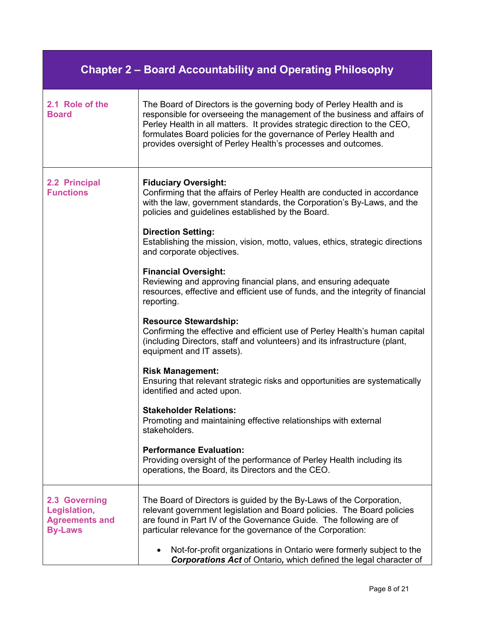| <b>Chapter 2 – Board Accountability and Operating Philosophy</b>         |                                                                                                                                                                                                                                                                                                                                                                     |
|--------------------------------------------------------------------------|---------------------------------------------------------------------------------------------------------------------------------------------------------------------------------------------------------------------------------------------------------------------------------------------------------------------------------------------------------------------|
| 2.1 Role of the<br><b>Board</b>                                          | The Board of Directors is the governing body of Perley Health and is<br>responsible for overseeing the management of the business and affairs of<br>Perley Health in all matters. It provides strategic direction to the CEO,<br>formulates Board policies for the governance of Perley Health and<br>provides oversight of Perley Health's processes and outcomes. |
| 2.2 Principal<br><b>Functions</b>                                        | <b>Fiduciary Oversight:</b><br>Confirming that the affairs of Perley Health are conducted in accordance<br>with the law, government standards, the Corporation's By-Laws, and the<br>policies and guidelines established by the Board.                                                                                                                              |
|                                                                          | <b>Direction Setting:</b><br>Establishing the mission, vision, motto, values, ethics, strategic directions<br>and corporate objectives.                                                                                                                                                                                                                             |
|                                                                          | <b>Financial Oversight:</b><br>Reviewing and approving financial plans, and ensuring adequate<br>resources, effective and efficient use of funds, and the integrity of financial<br>reporting.                                                                                                                                                                      |
|                                                                          | <b>Resource Stewardship:</b><br>Confirming the effective and efficient use of Perley Health's human capital<br>(including Directors, staff and volunteers) and its infrastructure (plant,<br>equipment and IT assets).                                                                                                                                              |
|                                                                          | <b>Risk Management:</b><br>Ensuring that relevant strategic risks and opportunities are systematically<br>identified and acted upon.                                                                                                                                                                                                                                |
|                                                                          | <b>Stakeholder Relations:</b><br>Promoting and maintaining effective relationships with external<br>stakeholders.                                                                                                                                                                                                                                                   |
|                                                                          | <b>Performance Evaluation:</b><br>Providing oversight of the performance of Perley Health including its<br>operations, the Board, its Directors and the CEO.                                                                                                                                                                                                        |
| 2.3 Governing<br>Legislation,<br><b>Agreements and</b><br><b>By-Laws</b> | The Board of Directors is guided by the By-Laws of the Corporation,<br>relevant government legislation and Board policies. The Board policies<br>are found in Part IV of the Governance Guide. The following are of<br>particular relevance for the governance of the Corporation:                                                                                  |
|                                                                          | Not-for-profit organizations in Ontario were formerly subject to the<br><b>Corporations Act</b> of Ontario, which defined the legal character of                                                                                                                                                                                                                    |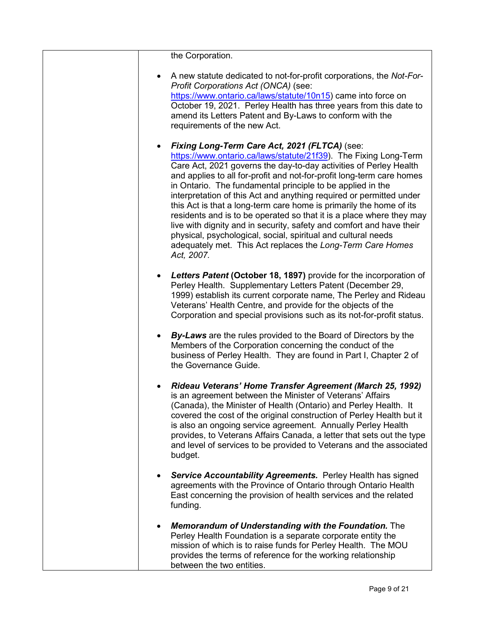| the Corporation.                                                                                                                                                                                                                                                                                                                                                                                                                                                                                                                                                                                                                                                                                                                                                         |
|--------------------------------------------------------------------------------------------------------------------------------------------------------------------------------------------------------------------------------------------------------------------------------------------------------------------------------------------------------------------------------------------------------------------------------------------------------------------------------------------------------------------------------------------------------------------------------------------------------------------------------------------------------------------------------------------------------------------------------------------------------------------------|
| A new statute dedicated to not-for-profit corporations, the Not-For-<br>Profit Corporations Act (ONCA) (see:<br>https://www.ontario.ca/laws/statute/10n15) came into force on<br>October 19, 2021. Perley Health has three years from this date to<br>amend its Letters Patent and By-Laws to conform with the<br>requirements of the new Act.                                                                                                                                                                                                                                                                                                                                                                                                                           |
| Fixing Long-Term Care Act, 2021 (FLTCA) (see:<br>https://www.ontario.ca/laws/statute/21f39). The Fixing Long-Term<br>Care Act, 2021 governs the day-to-day activities of Perley Health<br>and applies to all for-profit and not-for-profit long-term care homes<br>in Ontario. The fundamental principle to be applied in the<br>interpretation of this Act and anything required or permitted under<br>this Act is that a long-term care home is primarily the home of its<br>residents and is to be operated so that it is a place where they may<br>live with dignity and in security, safety and comfort and have their<br>physical, psychological, social, spiritual and cultural needs<br>adequately met. This Act replaces the Long-Term Care Homes<br>Act, 2007. |
| <b>Letters Patent (October 18, 1897)</b> provide for the incorporation of<br>Perley Health. Supplementary Letters Patent (December 29,<br>1999) establish its current corporate name, The Perley and Rideau<br>Veterans' Health Centre, and provide for the objects of the<br>Corporation and special provisions such as its not-for-profit status.                                                                                                                                                                                                                                                                                                                                                                                                                      |
| <b>By-Laws</b> are the rules provided to the Board of Directors by the<br>$\bullet$<br>Members of the Corporation concerning the conduct of the<br>business of Perley Health. They are found in Part I, Chapter 2 of<br>the Governance Guide.                                                                                                                                                                                                                                                                                                                                                                                                                                                                                                                            |
| Rideau Veterans' Home Transfer Agreement (March 25, 1992)<br>is an agreement between the Minister of Veterans' Affairs<br>(Canada), the Minister of Health (Ontario) and Perley Health. It<br>covered the cost of the original construction of Perley Health but it<br>is also an ongoing service agreement. Annually Perley Health<br>provides, to Veterans Affairs Canada, a letter that sets out the type<br>and level of services to be provided to Veterans and the associated<br>budget.                                                                                                                                                                                                                                                                           |
| <b>Service Accountability Agreements.</b> Perley Health has signed<br>agreements with the Province of Ontario through Ontario Health<br>East concerning the provision of health services and the related<br>funding.                                                                                                                                                                                                                                                                                                                                                                                                                                                                                                                                                     |
| <b>Memorandum of Understanding with the Foundation.</b> The<br>Perley Health Foundation is a separate corporate entity the<br>mission of which is to raise funds for Perley Health. The MOU<br>provides the terms of reference for the working relationship<br>between the two entities.                                                                                                                                                                                                                                                                                                                                                                                                                                                                                 |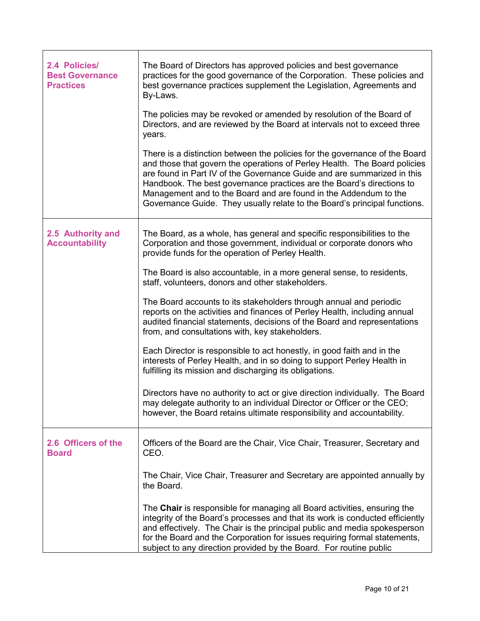| 2.4 Policies/<br><b>Best Governance</b><br><b>Practices</b> | The Board of Directors has approved policies and best governance<br>practices for the good governance of the Corporation. These policies and<br>best governance practices supplement the Legislation, Agreements and<br>By-Laws.                                                                                                                                                                                                                              |
|-------------------------------------------------------------|---------------------------------------------------------------------------------------------------------------------------------------------------------------------------------------------------------------------------------------------------------------------------------------------------------------------------------------------------------------------------------------------------------------------------------------------------------------|
|                                                             | The policies may be revoked or amended by resolution of the Board of<br>Directors, and are reviewed by the Board at intervals not to exceed three<br>years.                                                                                                                                                                                                                                                                                                   |
|                                                             | There is a distinction between the policies for the governance of the Board<br>and those that govern the operations of Perley Health. The Board policies<br>are found in Part IV of the Governance Guide and are summarized in this<br>Handbook. The best governance practices are the Board's directions to<br>Management and to the Board and are found in the Addendum to the<br>Governance Guide. They usually relate to the Board's principal functions. |
| 2.5 Authority and<br><b>Accountability</b>                  | The Board, as a whole, has general and specific responsibilities to the<br>Corporation and those government, individual or corporate donors who<br>provide funds for the operation of Perley Health.                                                                                                                                                                                                                                                          |
|                                                             | The Board is also accountable, in a more general sense, to residents,<br>staff, volunteers, donors and other stakeholders.                                                                                                                                                                                                                                                                                                                                    |
|                                                             | The Board accounts to its stakeholders through annual and periodic<br>reports on the activities and finances of Perley Health, including annual<br>audited financial statements, decisions of the Board and representations<br>from, and consultations with, key stakeholders.                                                                                                                                                                                |
|                                                             | Each Director is responsible to act honestly, in good faith and in the<br>interests of Perley Health, and in so doing to support Perley Health in<br>fulfilling its mission and discharging its obligations.                                                                                                                                                                                                                                                  |
|                                                             | Directors have no authority to act or give direction individually. The Board<br>may delegate authority to an individual Director or Officer or the CEO;<br>however, the Board retains ultimate responsibility and accountability.                                                                                                                                                                                                                             |
| 2.6 Officers of the<br><b>Board</b>                         | Officers of the Board are the Chair, Vice Chair, Treasurer, Secretary and<br>CEO.                                                                                                                                                                                                                                                                                                                                                                             |
|                                                             | The Chair, Vice Chair, Treasurer and Secretary are appointed annually by<br>the Board.                                                                                                                                                                                                                                                                                                                                                                        |
|                                                             | The Chair is responsible for managing all Board activities, ensuring the<br>integrity of the Board's processes and that its work is conducted efficiently<br>and effectively. The Chair is the principal public and media spokesperson<br>for the Board and the Corporation for issues requiring formal statements,<br>subject to any direction provided by the Board. For routine public                                                                     |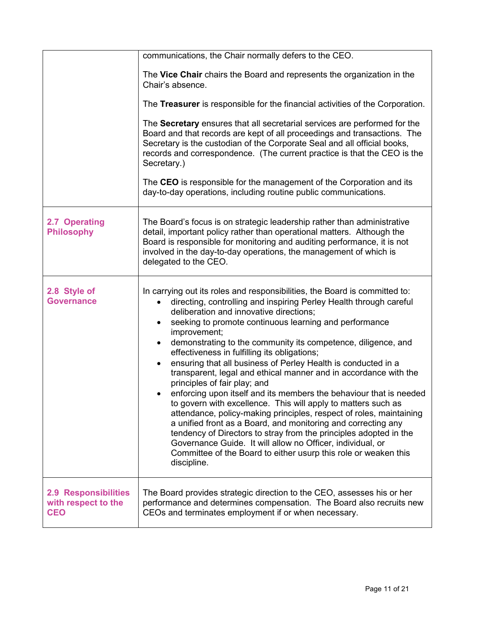|                                                                  | communications, the Chair normally defers to the CEO.                                                                                                                                                                                                                                                                                                                                                                                                                                                                                                                                                                                                                                                                                                                                                                                                                                                                                                                                                                                                                                                                    |
|------------------------------------------------------------------|--------------------------------------------------------------------------------------------------------------------------------------------------------------------------------------------------------------------------------------------------------------------------------------------------------------------------------------------------------------------------------------------------------------------------------------------------------------------------------------------------------------------------------------------------------------------------------------------------------------------------------------------------------------------------------------------------------------------------------------------------------------------------------------------------------------------------------------------------------------------------------------------------------------------------------------------------------------------------------------------------------------------------------------------------------------------------------------------------------------------------|
|                                                                  | The Vice Chair chairs the Board and represents the organization in the<br>Chair's absence.                                                                                                                                                                                                                                                                                                                                                                                                                                                                                                                                                                                                                                                                                                                                                                                                                                                                                                                                                                                                                               |
|                                                                  | The Treasurer is responsible for the financial activities of the Corporation.                                                                                                                                                                                                                                                                                                                                                                                                                                                                                                                                                                                                                                                                                                                                                                                                                                                                                                                                                                                                                                            |
|                                                                  | The Secretary ensures that all secretarial services are performed for the<br>Board and that records are kept of all proceedings and transactions. The<br>Secretary is the custodian of the Corporate Seal and all official books,<br>records and correspondence. (The current practice is that the CEO is the<br>Secretary.)                                                                                                                                                                                                                                                                                                                                                                                                                                                                                                                                                                                                                                                                                                                                                                                             |
|                                                                  | The CEO is responsible for the management of the Corporation and its<br>day-to-day operations, including routine public communications.                                                                                                                                                                                                                                                                                                                                                                                                                                                                                                                                                                                                                                                                                                                                                                                                                                                                                                                                                                                  |
| 2.7 Operating<br><b>Philosophy</b>                               | The Board's focus is on strategic leadership rather than administrative<br>detail, important policy rather than operational matters. Although the<br>Board is responsible for monitoring and auditing performance, it is not<br>involved in the day-to-day operations, the management of which is<br>delegated to the CEO.                                                                                                                                                                                                                                                                                                                                                                                                                                                                                                                                                                                                                                                                                                                                                                                               |
| 2.8 Style of<br><b>Governance</b>                                | In carrying out its roles and responsibilities, the Board is committed to:<br>directing, controlling and inspiring Perley Health through careful<br>$\bullet$<br>deliberation and innovative directions;<br>seeking to promote continuous learning and performance<br>$\bullet$<br>improvement;<br>demonstrating to the community its competence, diligence, and<br>$\bullet$<br>effectiveness in fulfilling its obligations;<br>ensuring that all business of Perley Health is conducted in a<br>$\bullet$<br>transparent, legal and ethical manner and in accordance with the<br>principles of fair play; and<br>enforcing upon itself and its members the behaviour that is needed<br>٠<br>to govern with excellence. This will apply to matters such as<br>attendance, policy-making principles, respect of roles, maintaining<br>a unified front as a Board, and monitoring and correcting any<br>tendency of Directors to stray from the principles adopted in the<br>Governance Guide. It will allow no Officer, individual, or<br>Committee of the Board to either usurp this role or weaken this<br>discipline. |
| <b>2.9 Responsibilities</b><br>with respect to the<br><b>CEO</b> | The Board provides strategic direction to the CEO, assesses his or her<br>performance and determines compensation. The Board also recruits new<br>CEOs and terminates employment if or when necessary.                                                                                                                                                                                                                                                                                                                                                                                                                                                                                                                                                                                                                                                                                                                                                                                                                                                                                                                   |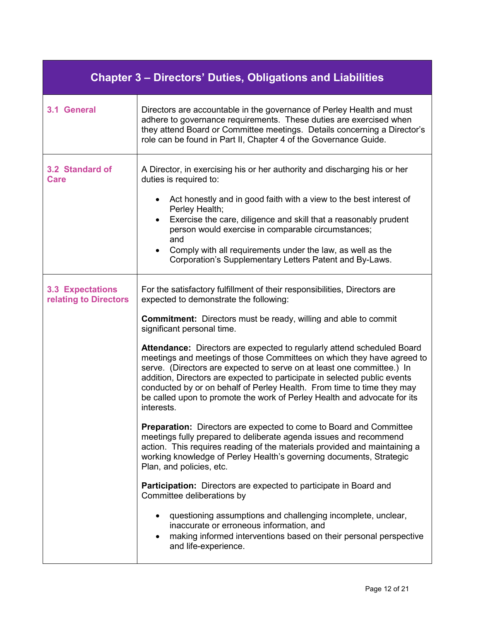| <b>Chapter 3 – Directors' Duties, Obligations and Liabilities</b> |                                                                                                                                                                                                                                                                                                                                                                                                                                                                                    |  |
|-------------------------------------------------------------------|------------------------------------------------------------------------------------------------------------------------------------------------------------------------------------------------------------------------------------------------------------------------------------------------------------------------------------------------------------------------------------------------------------------------------------------------------------------------------------|--|
| 3.1 General                                                       | Directors are accountable in the governance of Perley Health and must<br>adhere to governance requirements. These duties are exercised when<br>they attend Board or Committee meetings. Details concerning a Director's<br>role can be found in Part II, Chapter 4 of the Governance Guide.                                                                                                                                                                                        |  |
| 3.2 Standard of<br><b>Care</b>                                    | A Director, in exercising his or her authority and discharging his or her<br>duties is required to:                                                                                                                                                                                                                                                                                                                                                                                |  |
|                                                                   | Act honestly and in good faith with a view to the best interest of<br>Perley Health;<br>Exercise the care, diligence and skill that a reasonably prudent<br>$\bullet$<br>person would exercise in comparable circumstances;<br>and<br>Comply with all requirements under the law, as well as the<br>Corporation's Supplementary Letters Patent and By-Laws.                                                                                                                        |  |
| <b>3.3 Expectations</b><br>relating to Directors                  | For the satisfactory fulfillment of their responsibilities, Directors are<br>expected to demonstrate the following:                                                                                                                                                                                                                                                                                                                                                                |  |
|                                                                   | <b>Commitment:</b> Directors must be ready, willing and able to commit<br>significant personal time.                                                                                                                                                                                                                                                                                                                                                                               |  |
|                                                                   | <b>Attendance:</b> Directors are expected to regularly attend scheduled Board<br>meetings and meetings of those Committees on which they have agreed to<br>serve. (Directors are expected to serve on at least one committee.) In<br>addition, Directors are expected to participate in selected public events<br>conducted by or on behalf of Perley Health. From time to time they may<br>be called upon to promote the work of Perley Health and advocate for its<br>interests. |  |
|                                                                   | <b>Preparation:</b> Directors are expected to come to Board and Committee<br>meetings fully prepared to deliberate agenda issues and recommend<br>action. This requires reading of the materials provided and maintaining a<br>working knowledge of Perley Health's governing documents, Strategic<br>Plan, and policies, etc.                                                                                                                                                     |  |
|                                                                   | <b>Participation:</b> Directors are expected to participate in Board and<br>Committee deliberations by                                                                                                                                                                                                                                                                                                                                                                             |  |
|                                                                   | questioning assumptions and challenging incomplete, unclear,<br>inaccurate or erroneous information, and<br>making informed interventions based on their personal perspective<br>and life-experience.                                                                                                                                                                                                                                                                              |  |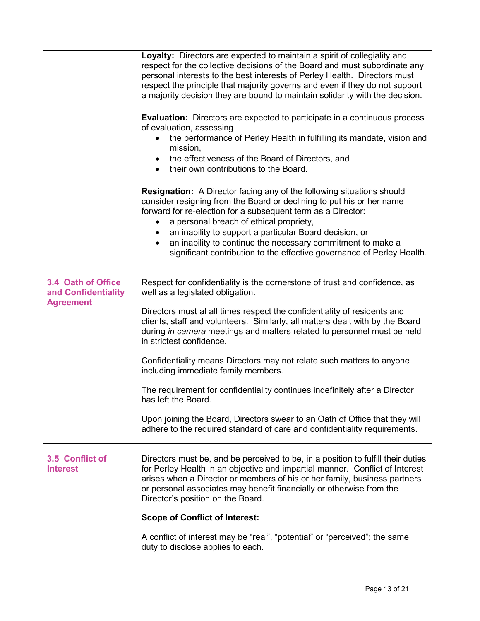|                                                               | Loyalty: Directors are expected to maintain a spirit of collegiality and<br>respect for the collective decisions of the Board and must subordinate any<br>personal interests to the best interests of Perley Health. Directors must<br>respect the principle that majority governs and even if they do not support<br>a majority decision they are bound to maintain solidarity with the decision.<br><b>Evaluation:</b> Directors are expected to participate in a continuous process<br>of evaluation, assessing<br>the performance of Perley Health in fulfilling its mandate, vision and<br>mission,<br>the effectiveness of the Board of Directors, and<br>$\bullet$<br>their own contributions to the Board. |
|---------------------------------------------------------------|--------------------------------------------------------------------------------------------------------------------------------------------------------------------------------------------------------------------------------------------------------------------------------------------------------------------------------------------------------------------------------------------------------------------------------------------------------------------------------------------------------------------------------------------------------------------------------------------------------------------------------------------------------------------------------------------------------------------|
|                                                               | <b>Resignation:</b> A Director facing any of the following situations should<br>consider resigning from the Board or declining to put his or her name<br>forward for re-election for a subsequent term as a Director:<br>a personal breach of ethical propriety,<br>an inability to support a particular Board decision, or<br>an inability to continue the necessary commitment to make a<br>significant contribution to the effective governance of Perley Health.                                                                                                                                                                                                                                               |
| 3.4 Oath of Office<br>and Confidentiality<br><b>Agreement</b> | Respect for confidentiality is the cornerstone of trust and confidence, as<br>well as a legislated obligation.<br>Directors must at all times respect the confidentiality of residents and<br>clients, staff and volunteers. Similarly, all matters dealt with by the Board<br>during in camera meetings and matters related to personnel must be held<br>in strictest confidence.                                                                                                                                                                                                                                                                                                                                 |
|                                                               | Confidentiality means Directors may not relate such matters to anyone<br>including immediate family members.                                                                                                                                                                                                                                                                                                                                                                                                                                                                                                                                                                                                       |
|                                                               | The requirement for confidentiality continues indefinitely after a Director<br>has left the Board.                                                                                                                                                                                                                                                                                                                                                                                                                                                                                                                                                                                                                 |
|                                                               | Upon joining the Board, Directors swear to an Oath of Office that they will<br>adhere to the required standard of care and confidentiality requirements.                                                                                                                                                                                                                                                                                                                                                                                                                                                                                                                                                           |
| 3.5 Conflict of<br><b>Interest</b>                            | Directors must be, and be perceived to be, in a position to fulfill their duties<br>for Perley Health in an objective and impartial manner. Conflict of Interest<br>arises when a Director or members of his or her family, business partners<br>or personal associates may benefit financially or otherwise from the<br>Director's position on the Board.                                                                                                                                                                                                                                                                                                                                                         |
|                                                               | <b>Scope of Conflict of Interest:</b>                                                                                                                                                                                                                                                                                                                                                                                                                                                                                                                                                                                                                                                                              |
|                                                               | A conflict of interest may be "real", "potential" or "perceived"; the same<br>duty to disclose applies to each.                                                                                                                                                                                                                                                                                                                                                                                                                                                                                                                                                                                                    |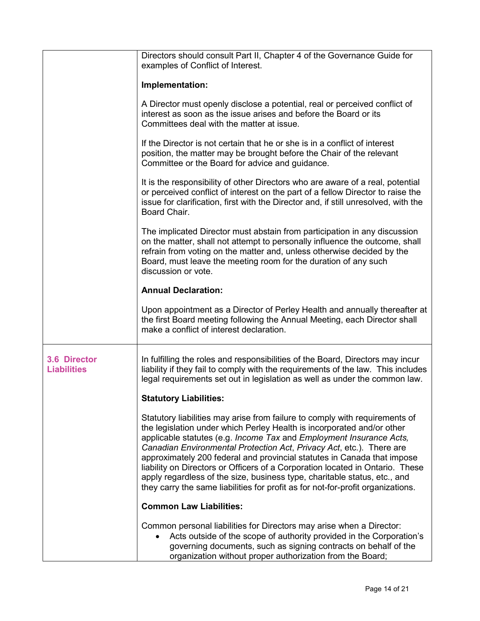|                                    | Directors should consult Part II, Chapter 4 of the Governance Guide for<br>examples of Conflict of Interest.                                                                                                                                                                                                                                                                                                                                                                                                                                                                                                                     |
|------------------------------------|----------------------------------------------------------------------------------------------------------------------------------------------------------------------------------------------------------------------------------------------------------------------------------------------------------------------------------------------------------------------------------------------------------------------------------------------------------------------------------------------------------------------------------------------------------------------------------------------------------------------------------|
|                                    | Implementation:                                                                                                                                                                                                                                                                                                                                                                                                                                                                                                                                                                                                                  |
|                                    | A Director must openly disclose a potential, real or perceived conflict of<br>interest as soon as the issue arises and before the Board or its<br>Committees deal with the matter at issue.                                                                                                                                                                                                                                                                                                                                                                                                                                      |
|                                    | If the Director is not certain that he or she is in a conflict of interest<br>position, the matter may be brought before the Chair of the relevant<br>Committee or the Board for advice and guidance.                                                                                                                                                                                                                                                                                                                                                                                                                            |
|                                    | It is the responsibility of other Directors who are aware of a real, potential<br>or perceived conflict of interest on the part of a fellow Director to raise the<br>issue for clarification, first with the Director and, if still unresolved, with the<br>Board Chair.                                                                                                                                                                                                                                                                                                                                                         |
|                                    | The implicated Director must abstain from participation in any discussion<br>on the matter, shall not attempt to personally influence the outcome, shall<br>refrain from voting on the matter and, unless otherwise decided by the<br>Board, must leave the meeting room for the duration of any such<br>discussion or vote.                                                                                                                                                                                                                                                                                                     |
|                                    | <b>Annual Declaration:</b>                                                                                                                                                                                                                                                                                                                                                                                                                                                                                                                                                                                                       |
|                                    | Upon appointment as a Director of Perley Health and annually thereafter at<br>the first Board meeting following the Annual Meeting, each Director shall<br>make a conflict of interest declaration.                                                                                                                                                                                                                                                                                                                                                                                                                              |
| 3.6 Director<br><b>Liabilities</b> | In fulfilling the roles and responsibilities of the Board, Directors may incur<br>liability if they fail to comply with the requirements of the law. This includes<br>legal requirements set out in legislation as well as under the common law.                                                                                                                                                                                                                                                                                                                                                                                 |
|                                    | <b>Statutory Liabilities:</b>                                                                                                                                                                                                                                                                                                                                                                                                                                                                                                                                                                                                    |
|                                    | Statutory liabilities may arise from failure to comply with requirements of<br>the legislation under which Perley Health is incorporated and/or other<br>applicable statutes (e.g. Income Tax and Employment Insurance Acts,<br>Canadian Environmental Protection Act, Privacy Act, etc.). There are<br>approximately 200 federal and provincial statutes in Canada that impose<br>liability on Directors or Officers of a Corporation located in Ontario. These<br>apply regardless of the size, business type, charitable status, etc., and<br>they carry the same liabilities for profit as for not-for-profit organizations. |
|                                    | <b>Common Law Liabilities:</b>                                                                                                                                                                                                                                                                                                                                                                                                                                                                                                                                                                                                   |
|                                    | Common personal liabilities for Directors may arise when a Director:<br>Acts outside of the scope of authority provided in the Corporation's<br>governing documents, such as signing contracts on behalf of the<br>organization without proper authorization from the Board;                                                                                                                                                                                                                                                                                                                                                     |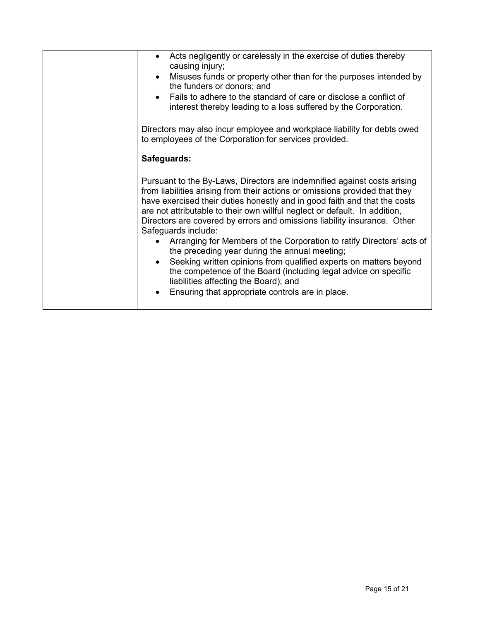| Acts negligently or carelessly in the exercise of duties thereby<br>causing injury;<br>Misuses funds or property other than for the purposes intended by<br>the funders or donors; and<br>Fails to adhere to the standard of care or disclose a conflict of<br>interest thereby leading to a loss suffered by the Corporation.<br>Directors may also incur employee and workplace liability for debts owed<br>to employees of the Corporation for services provided.                                                                                                                                                                                                                                                                                                                 |
|--------------------------------------------------------------------------------------------------------------------------------------------------------------------------------------------------------------------------------------------------------------------------------------------------------------------------------------------------------------------------------------------------------------------------------------------------------------------------------------------------------------------------------------------------------------------------------------------------------------------------------------------------------------------------------------------------------------------------------------------------------------------------------------|
|                                                                                                                                                                                                                                                                                                                                                                                                                                                                                                                                                                                                                                                                                                                                                                                      |
| Safeguards:                                                                                                                                                                                                                                                                                                                                                                                                                                                                                                                                                                                                                                                                                                                                                                          |
|                                                                                                                                                                                                                                                                                                                                                                                                                                                                                                                                                                                                                                                                                                                                                                                      |
| Pursuant to the By-Laws, Directors are indemnified against costs arising<br>from liabilities arising from their actions or omissions provided that they<br>have exercised their duties honestly and in good faith and that the costs<br>are not attributable to their own willful neglect or default. In addition,<br>Directors are covered by errors and omissions liability insurance. Other<br>Safeguards include:<br>Arranging for Members of the Corporation to ratify Directors' acts of<br>the preceding year during the annual meeting;<br>Seeking written opinions from qualified experts on matters beyond<br>the competence of the Board (including legal advice on specific<br>liabilities affecting the Board); and<br>Ensuring that appropriate controls are in place. |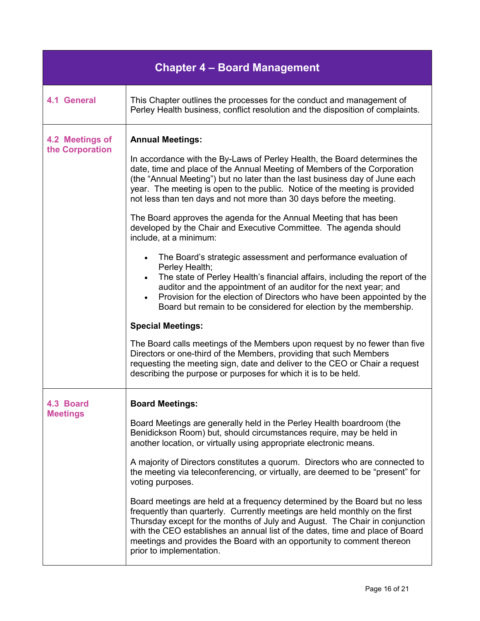| <b>Chapter 4 - Board Management</b> |                                                                                                                                                                                                                                                                                                                                                                                                                                                                                                                                                                                                                                                                                                                                                                                                                                                                                                                                                                                                                                                                                                                                                                                                                                                                                                                                |  |
|-------------------------------------|--------------------------------------------------------------------------------------------------------------------------------------------------------------------------------------------------------------------------------------------------------------------------------------------------------------------------------------------------------------------------------------------------------------------------------------------------------------------------------------------------------------------------------------------------------------------------------------------------------------------------------------------------------------------------------------------------------------------------------------------------------------------------------------------------------------------------------------------------------------------------------------------------------------------------------------------------------------------------------------------------------------------------------------------------------------------------------------------------------------------------------------------------------------------------------------------------------------------------------------------------------------------------------------------------------------------------------|--|
| <b>4.1 General</b>                  | This Chapter outlines the processes for the conduct and management of<br>Perley Health business, conflict resolution and the disposition of complaints.                                                                                                                                                                                                                                                                                                                                                                                                                                                                                                                                                                                                                                                                                                                                                                                                                                                                                                                                                                                                                                                                                                                                                                        |  |
| 4.2 Meetings of<br>the Corporation  | <b>Annual Meetings:</b><br>In accordance with the By-Laws of Perley Health, the Board determines the<br>date, time and place of the Annual Meeting of Members of the Corporation<br>(the "Annual Meeting") but no later than the last business day of June each<br>year. The meeting is open to the public. Notice of the meeting is provided<br>not less than ten days and not more than 30 days before the meeting.<br>The Board approves the agenda for the Annual Meeting that has been<br>developed by the Chair and Executive Committee. The agenda should<br>include, at a minimum:<br>The Board's strategic assessment and performance evaluation of<br>$\bullet$<br>Perley Health;<br>The state of Perley Health's financial affairs, including the report of the<br>auditor and the appointment of an auditor for the next year; and<br>Provision for the election of Directors who have been appointed by the<br>Board but remain to be considered for election by the membership.<br><b>Special Meetings:</b><br>The Board calls meetings of the Members upon request by no fewer than five<br>Directors or one-third of the Members, providing that such Members<br>requesting the meeting sign, date and deliver to the CEO or Chair a request<br>describing the purpose or purposes for which it is to be held. |  |
| 4.3 Board<br><b>Meetings</b>        | <b>Board Meetings:</b><br>Board Meetings are generally held in the Perley Health boardroom (the<br>Benidickson Room) but, should circumstances require, may be held in<br>another location, or virtually using appropriate electronic means.<br>A majority of Directors constitutes a quorum. Directors who are connected to<br>the meeting via teleconferencing, or virtually, are deemed to be "present" for<br>voting purposes.<br>Board meetings are held at a frequency determined by the Board but no less<br>frequently than quarterly. Currently meetings are held monthly on the first<br>Thursday except for the months of July and August. The Chair in conjunction<br>with the CEO establishes an annual list of the dates, time and place of Board<br>meetings and provides the Board with an opportunity to comment thereon<br>prior to implementation.                                                                                                                                                                                                                                                                                                                                                                                                                                                          |  |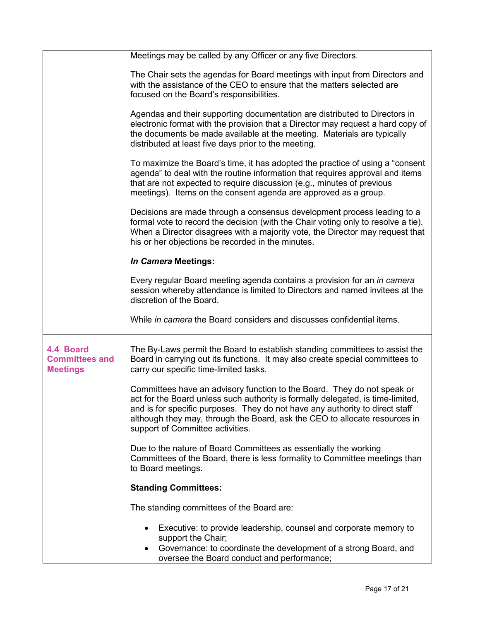|                                                       | Meetings may be called by any Officer or any five Directors.                                                                                                                                                                                                                                                                                                 |  |  |
|-------------------------------------------------------|--------------------------------------------------------------------------------------------------------------------------------------------------------------------------------------------------------------------------------------------------------------------------------------------------------------------------------------------------------------|--|--|
|                                                       | The Chair sets the agendas for Board meetings with input from Directors and<br>with the assistance of the CEO to ensure that the matters selected are<br>focused on the Board's responsibilities.                                                                                                                                                            |  |  |
|                                                       | Agendas and their supporting documentation are distributed to Directors in<br>electronic format with the provision that a Director may request a hard copy of<br>the documents be made available at the meeting. Materials are typically<br>distributed at least five days prior to the meeting.                                                             |  |  |
|                                                       | To maximize the Board's time, it has adopted the practice of using a "consent"<br>agenda" to deal with the routine information that requires approval and items<br>that are not expected to require discussion (e.g., minutes of previous<br>meetings). Items on the consent agenda are approved as a group.                                                 |  |  |
|                                                       | Decisions are made through a consensus development process leading to a<br>formal vote to record the decision (with the Chair voting only to resolve a tie).<br>When a Director disagrees with a majority vote, the Director may request that<br>his or her objections be recorded in the minutes.                                                           |  |  |
|                                                       | In Camera Meetings:                                                                                                                                                                                                                                                                                                                                          |  |  |
|                                                       | Every regular Board meeting agenda contains a provision for an in camera<br>session whereby attendance is limited to Directors and named invitees at the<br>discretion of the Board.                                                                                                                                                                         |  |  |
|                                                       | While in camera the Board considers and discusses confidential items.                                                                                                                                                                                                                                                                                        |  |  |
| 4.4 Board<br><b>Committees and</b><br><b>Meetings</b> | The By-Laws permit the Board to establish standing committees to assist the<br>Board in carrying out its functions. It may also create special committees to<br>carry our specific time-limited tasks.                                                                                                                                                       |  |  |
|                                                       | Committees have an advisory function to the Board. They do not speak or<br>act for the Board unless such authority is formally delegated, is time-limited,<br>and is for specific purposes. They do not have any authority to direct staff<br>although they may, through the Board, ask the CEO to allocate resources in<br>support of Committee activities. |  |  |
|                                                       | Due to the nature of Board Committees as essentially the working<br>Committees of the Board, there is less formality to Committee meetings than<br>to Board meetings.                                                                                                                                                                                        |  |  |
|                                                       | <b>Standing Committees:</b>                                                                                                                                                                                                                                                                                                                                  |  |  |
|                                                       | The standing committees of the Board are:                                                                                                                                                                                                                                                                                                                    |  |  |
|                                                       | Executive: to provide leadership, counsel and corporate memory to<br>support the Chair;                                                                                                                                                                                                                                                                      |  |  |
|                                                       | Governance: to coordinate the development of a strong Board, and<br>oversee the Board conduct and performance;                                                                                                                                                                                                                                               |  |  |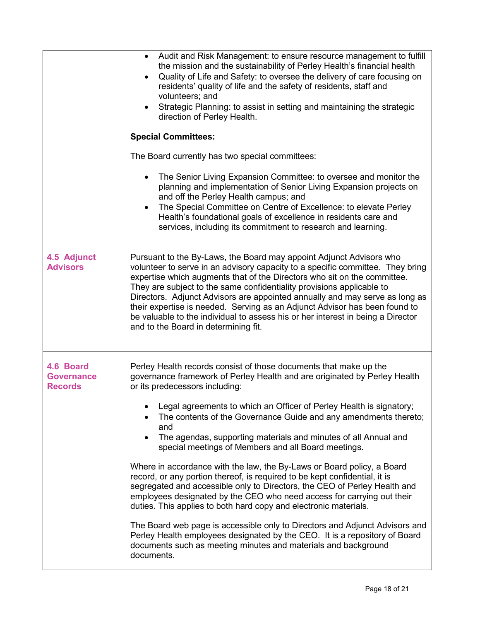|                                           | Audit and Risk Management: to ensure resource management to fulfill<br>the mission and the sustainability of Perley Health's financial health<br>Quality of Life and Safety: to oversee the delivery of care focusing on<br>residents' quality of life and the safety of residents, staff and<br>volunteers; and<br>Strategic Planning: to assist in setting and maintaining the strategic<br>direction of Perley Health.<br><b>Special Committees:</b>                                                                                                                                                                                                               |  |  |  |
|-------------------------------------------|-----------------------------------------------------------------------------------------------------------------------------------------------------------------------------------------------------------------------------------------------------------------------------------------------------------------------------------------------------------------------------------------------------------------------------------------------------------------------------------------------------------------------------------------------------------------------------------------------------------------------------------------------------------------------|--|--|--|
|                                           | The Board currently has two special committees:                                                                                                                                                                                                                                                                                                                                                                                                                                                                                                                                                                                                                       |  |  |  |
|                                           | The Senior Living Expansion Committee: to oversee and monitor the<br>planning and implementation of Senior Living Expansion projects on<br>and off the Perley Health campus; and<br>The Special Committee on Centre of Excellence: to elevate Perley<br>Health's foundational goals of excellence in residents care and<br>services, including its commitment to research and learning.                                                                                                                                                                                                                                                                               |  |  |  |
| 4.5 Adjunct<br><b>Advisors</b>            | Pursuant to the By-Laws, the Board may appoint Adjunct Advisors who<br>volunteer to serve in an advisory capacity to a specific committee. They bring<br>expertise which augments that of the Directors who sit on the committee.<br>They are subject to the same confidentiality provisions applicable to<br>Directors. Adjunct Advisors are appointed annually and may serve as long as<br>their expertise is needed. Serving as an Adjunct Advisor has been found to<br>be valuable to the individual to assess his or her interest in being a Director<br>and to the Board in determining fit.                                                                    |  |  |  |
| 4.6 Board<br>Governance<br><b>Records</b> | Perley Health records consist of those documents that make up the<br>governance framework of Perley Health and are originated by Perley Health<br>or its predecessors including:<br>Legal agreements to which an Officer of Perley Health is signatory;<br>The contents of the Governance Guide and any amendments thereto;<br>and<br>The agendas, supporting materials and minutes of all Annual and                                                                                                                                                                                                                                                                 |  |  |  |
|                                           | special meetings of Members and all Board meetings.<br>Where in accordance with the law, the By-Laws or Board policy, a Board<br>record, or any portion thereof, is required to be kept confidential, it is<br>segregated and accessible only to Directors, the CEO of Perley Health and<br>employees designated by the CEO who need access for carrying out their<br>duties. This applies to both hard copy and electronic materials.<br>The Board web page is accessible only to Directors and Adjunct Advisors and<br>Perley Health employees designated by the CEO. It is a repository of Board<br>documents such as meeting minutes and materials and background |  |  |  |
|                                           | documents.                                                                                                                                                                                                                                                                                                                                                                                                                                                                                                                                                                                                                                                            |  |  |  |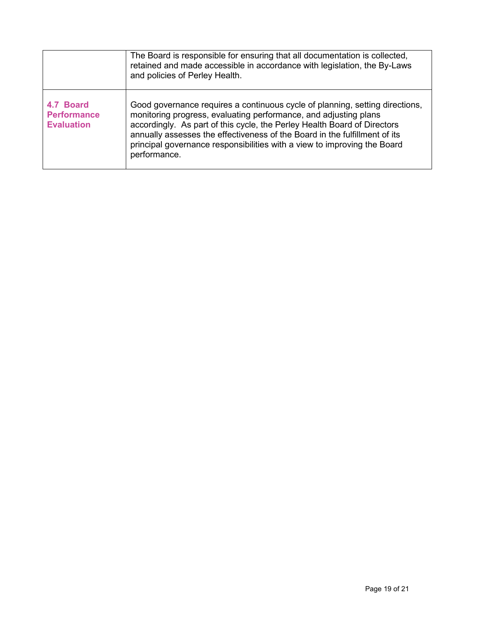|                                                      | The Board is responsible for ensuring that all documentation is collected,<br>retained and made accessible in accordance with legislation, the By-Laws<br>and policies of Perley Health.                                                                                                                                                                                                               |
|------------------------------------------------------|--------------------------------------------------------------------------------------------------------------------------------------------------------------------------------------------------------------------------------------------------------------------------------------------------------------------------------------------------------------------------------------------------------|
| 4.7 Board<br><b>Performance</b><br><b>Evaluation</b> | Good governance requires a continuous cycle of planning, setting directions,<br>monitoring progress, evaluating performance, and adjusting plans<br>accordingly. As part of this cycle, the Perley Health Board of Directors<br>annually assesses the effectiveness of the Board in the fulfillment of its<br>principal governance responsibilities with a view to improving the Board<br>performance. |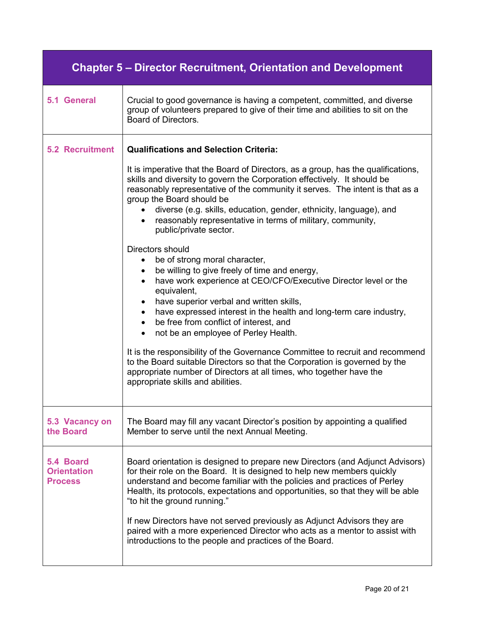| <b>Chapter 5 – Director Recruitment, Orientation and Development</b> |                                                                                                                                                                                                                                                                                                                                                                                                                                                                                                                                                                                                                            |  |  |  |
|----------------------------------------------------------------------|----------------------------------------------------------------------------------------------------------------------------------------------------------------------------------------------------------------------------------------------------------------------------------------------------------------------------------------------------------------------------------------------------------------------------------------------------------------------------------------------------------------------------------------------------------------------------------------------------------------------------|--|--|--|
| 5.1 General                                                          | Crucial to good governance is having a competent, committed, and diverse<br>group of volunteers prepared to give of their time and abilities to sit on the<br>Board of Directors.                                                                                                                                                                                                                                                                                                                                                                                                                                          |  |  |  |
| <b>5.2 Recruitment</b>                                               | <b>Qualifications and Selection Criteria:</b>                                                                                                                                                                                                                                                                                                                                                                                                                                                                                                                                                                              |  |  |  |
|                                                                      | It is imperative that the Board of Directors, as a group, has the qualifications,<br>skills and diversity to govern the Corporation effectively. It should be<br>reasonably representative of the community it serves. The intent is that as a<br>group the Board should be<br>• diverse (e.g. skills, education, gender, ethnicity, language), and<br>• reasonably representative in terms of military, community,<br>public/private sector.                                                                                                                                                                              |  |  |  |
|                                                                      | Directors should<br>be of strong moral character,<br>$\bullet$<br>be willing to give freely of time and energy,<br>$\bullet$<br>have work experience at CEO/CFO/Executive Director level or the<br>$\bullet$<br>equivalent,<br>have superior verbal and written skills,<br>have expressed interest in the health and long-term care industry,<br>$\bullet$<br>be free from conflict of interest, and<br>$\bullet$<br>• not be an employee of Perley Health.<br>It is the responsibility of the Governance Committee to recruit and recommend<br>to the Board suitable Directors so that the Corporation is governed by the |  |  |  |
|                                                                      | appropriate number of Directors at all times, who together have the<br>appropriate skills and abilities.                                                                                                                                                                                                                                                                                                                                                                                                                                                                                                                   |  |  |  |
| 5.3 Vacancy on<br>the Board                                          | The Board may fill any vacant Director's position by appointing a qualified<br>Member to serve until the next Annual Meeting.                                                                                                                                                                                                                                                                                                                                                                                                                                                                                              |  |  |  |
| 5.4 Board<br><b>Orientation</b><br><b>Process</b>                    | Board orientation is designed to prepare new Directors (and Adjunct Advisors)<br>for their role on the Board. It is designed to help new members quickly<br>understand and become familiar with the policies and practices of Perley<br>Health, its protocols, expectations and opportunities, so that they will be able<br>"to hit the ground running."                                                                                                                                                                                                                                                                   |  |  |  |
|                                                                      | If new Directors have not served previously as Adjunct Advisors they are<br>paired with a more experienced Director who acts as a mentor to assist with<br>introductions to the people and practices of the Board.                                                                                                                                                                                                                                                                                                                                                                                                         |  |  |  |